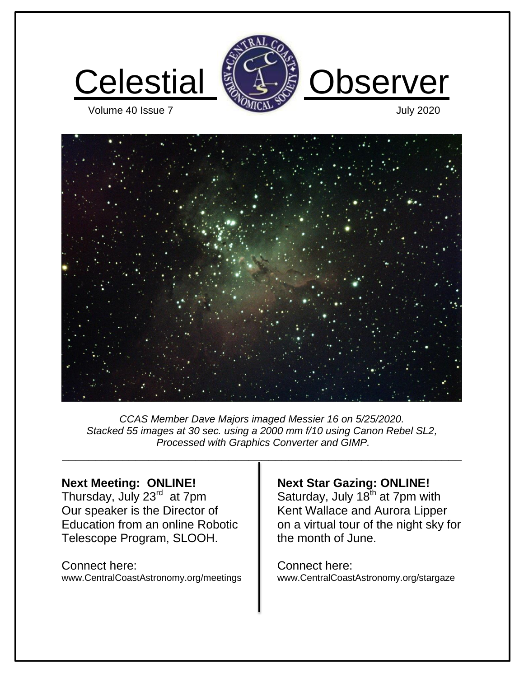





*CCAS Member Dave Majors imaged Messier 16 on 5/25/2020. Stacked 55 images at 30 sec. using a 2000 mm f/10 using Canon Rebel SL2, Processed with Graphics Converter and GIMP.* 

**\_\_\_\_\_\_\_\_\_\_\_\_\_\_\_\_\_\_\_\_\_\_\_\_\_\_\_\_\_\_\_\_\_\_\_\_\_\_\_\_\_\_\_\_\_\_\_\_\_\_\_\_\_\_\_\_\_\_\_\_**

#### **Next Meeting: ONLINE!**

Thursday, July 23rd at 7pm Our speaker is the Director of Education from an online Robotic Telescope Program, SLOOH.

Connect here: www.CentralCoastAstronomy.org/meetings

## **Next Star Gazing: ONLINE!**

Saturday, July  $18<sup>th</sup>$  at 7pm with Kent Wallace and Aurora Lipper on a virtual tour of the night sky for the month of June.

Connect here: www.CentralCoastAstronomy.org/stargaze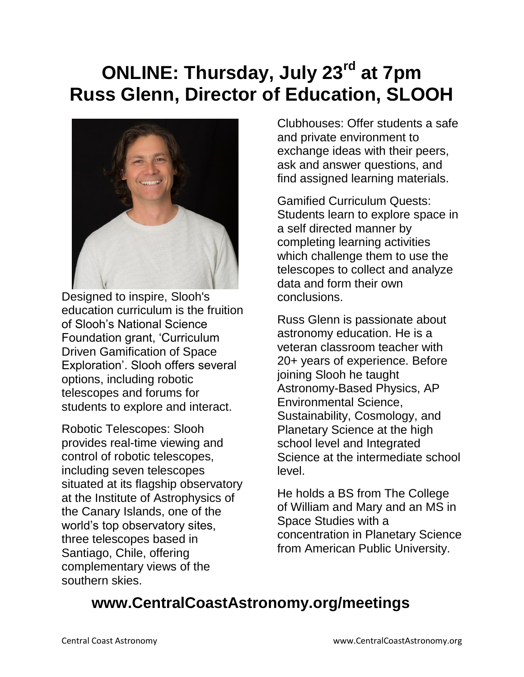# **ONLINE: Thursday, July 23rd at 7pm Russ Glenn, Director of Education, SLOOH**



Designed to inspire, Slooh's education curriculum is the fruition of Slooh's National Science Foundation grant, 'Curriculum Driven Gamification of Space Exploration'. Slooh offers several options, including robotic telescopes and forums for students to explore and interact.

Robotic Telescopes: Slooh provides real-time viewing and control of robotic telescopes, including seven telescopes situated at its flagship observatory at the Institute of Astrophysics of the Canary Islands, one of the world's top observatory sites, three telescopes based in Santiago, Chile, offering complementary views of the southern skies.

Clubhouses: Offer students a safe and private environment to exchange ideas with their peers, ask and answer questions, and find assigned learning materials.

Gamified Curriculum Quests: Students learn to explore space in a self directed manner by completing learning activities which challenge them to use the telescopes to collect and analyze data and form their own conclusions.

Russ Glenn is passionate about astronomy education. He is a veteran classroom teacher with 20+ years of experience. Before joining Slooh he taught Astronomy-Based Physics, AP Environmental Science, Sustainability, Cosmology, and Planetary Science at the high school level and Integrated Science at the intermediate school level.

He holds a BS from The College of William and Mary and an MS in Space Studies with a concentration in Planetary Science from American Public University.

## **www.CentralCoastAstronomy.org/meetings**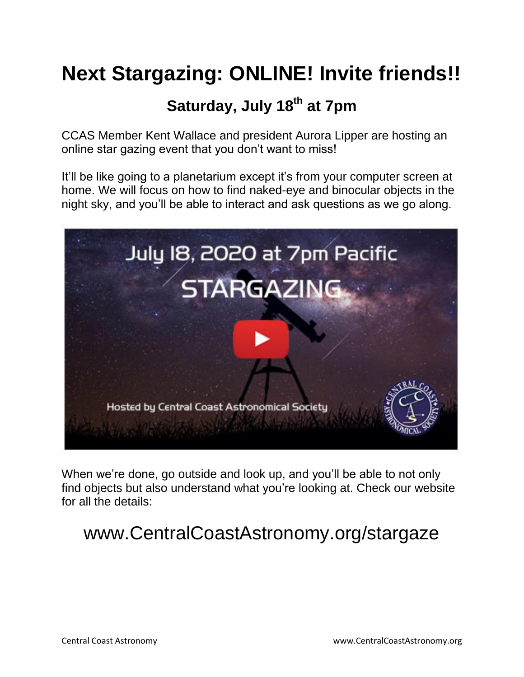# **Next Stargazing: ONLINE! Invite friends!!**

## **Saturday, July 18th at 7pm**

CCAS Member Kent Wallace and president Aurora Lipper are hosting an online star gazing event that you don't want to miss!

It'll be like going to a planetarium except it's from your computer screen at home. We will focus on how to find naked-eye and binocular objects in the night sky, and you'll be able to interact and ask questions as we go along.



When we're done, go outside and look up, and you'll be able to not only find objects but also understand what you're looking at. Check our website for all the details:

# www.CentralCoastAstronomy.org/stargaze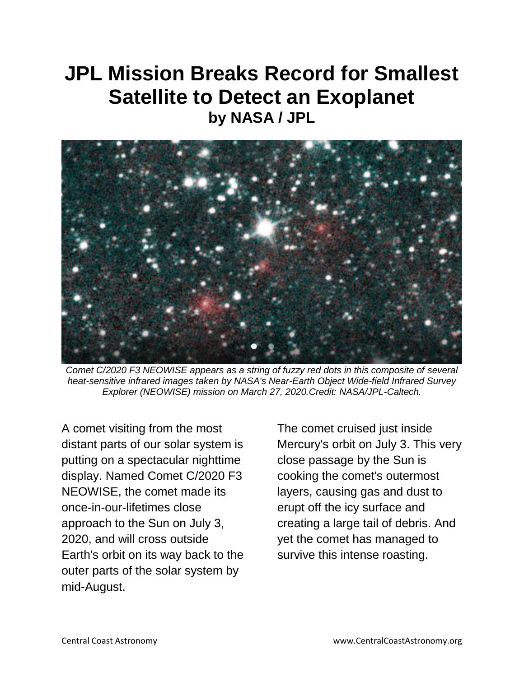# **JPL Mission Breaks Record for Smallest Satellite to Detect an Exoplanet by NASA / JPL**



*Comet C/2020 F3 NEOWISE appears as a string of fuzzy red dots in this composite of several heat-sensitive infrared images taken by NASA's Near-Earth Object Wide-field Infrared Survey Explorer (NEOWISE) mission on March 27, 2020.Credit: NASA/JPL-Caltech.*

A comet visiting from the most distant parts of our solar system is putting on a spectacular nighttime display. Named Comet C/2020 F3 NEOWISE, the comet made its once-in-our-lifetimes close approach to the Sun on July 3, 2020, and will cross outside Earth's orbit on its way back to the outer parts of the solar system by mid-August.

The comet cruised just inside Mercury's orbit on July 3. This very close passage by the Sun is cooking the comet's outermost layers, causing gas and dust to erupt off the icy surface and creating a large tail of debris. And yet the comet has managed to survive this intense roasting.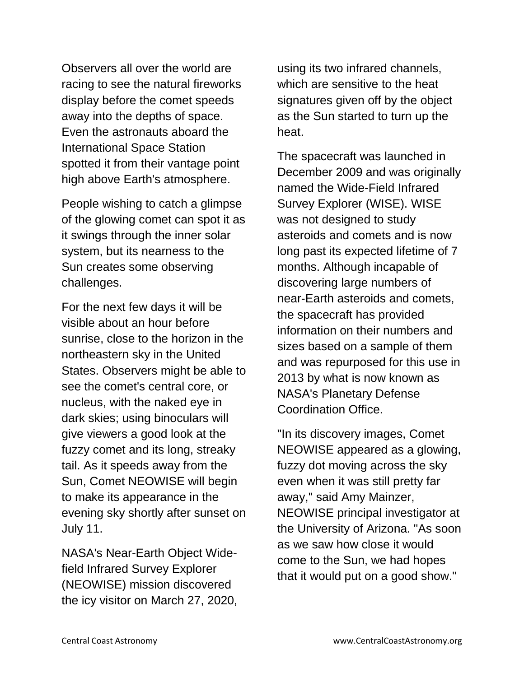Observers all over the world are racing to see the natural fireworks display before the comet speeds away into the depths of space. Even the astronauts aboard the International Space Station spotted it from their vantage point high above Earth's atmosphere.

People wishing to catch a glimpse of the glowing comet can spot it as it swings through the inner solar system, but its nearness to the Sun creates some observing challenges.

For the next few days it will be visible about an hour before sunrise, close to the horizon in the northeastern sky in the United States. Observers might be able to see the comet's central core, or nucleus, with the naked eye in dark skies; using binoculars will give viewers a good look at the fuzzy comet and its long, streaky tail. As it speeds away from the Sun, Comet NEOWISE will begin to make its appearance in the evening sky shortly after sunset on July 11.

NASA's Near-Earth Object Widefield Infrared Survey Explorer (NEOWISE) mission discovered the icy visitor on March 27, 2020, using its two infrared channels, which are sensitive to the heat signatures given off by the object as the Sun started to turn up the heat.

The spacecraft was launched in December 2009 and was originally named the Wide-Field Infrared Survey Explorer (WISE). WISE was not designed to study asteroids and comets and is now long past its expected lifetime of 7 months. Although incapable of discovering large numbers of near-Earth asteroids and comets, the spacecraft has provided information on their numbers and sizes based on a sample of them and was repurposed for this use in 2013 by what is now known as NASA's Planetary Defense Coordination Office.

"In its discovery images, Comet NEOWISE appeared as a glowing, fuzzy dot moving across the sky even when it was still pretty far away," said Amy Mainzer, NEOWISE principal investigator at the University of Arizona. "As soon as we saw how close it would come to the Sun, we had hopes that it would put on a good show."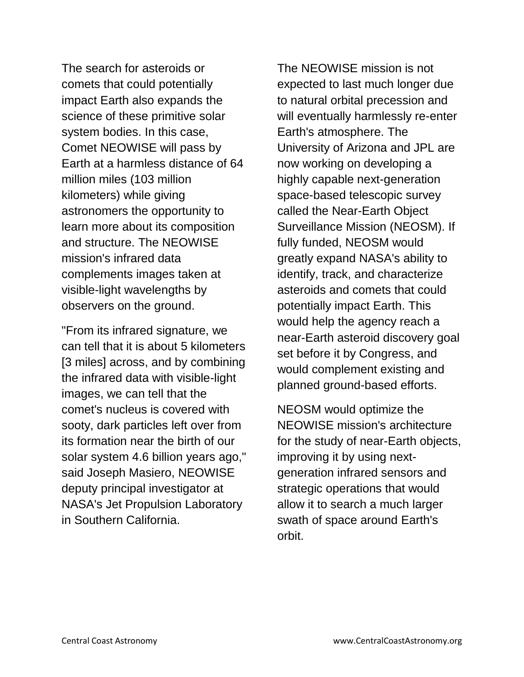The search for asteroids or comets that could potentially impact Earth also expands the science of these primitive solar system bodies. In this case, Comet NEOWISE will pass by Earth at a harmless distance of 64 million miles (103 million kilometers) while giving astronomers the opportunity to learn more about its composition and structure. The NEOWISE mission's infrared data complements images taken at visible-light wavelengths by observers on the ground.

"From its infrared signature, we can tell that it is about 5 kilometers [3 miles] across, and by combining the infrared data with visible-light images, we can tell that the comet's nucleus is covered with sooty, dark particles left over from its formation near the birth of our solar system 4.6 billion years ago," said Joseph Masiero, NEOWISE deputy principal investigator at NASA's Jet Propulsion Laboratory in Southern California.

The NEOWISE mission is not expected to last much longer due to natural orbital precession and will eventually harmlessly re-enter Earth's atmosphere. The University of Arizona and JPL are now working on developing a highly capable next-generation space-based telescopic survey called the Near-Earth Object Surveillance Mission (NEOSM). If fully funded, NEOSM would greatly expand NASA's ability to identify, track, and characterize asteroids and comets that could potentially impact Earth. This would help the agency reach a near-Earth asteroid discovery goal set before it by Congress, and would complement existing and planned ground-based efforts.

NEOSM would optimize the NEOWISE mission's architecture for the study of near-Earth objects, improving it by using nextgeneration infrared sensors and strategic operations that would allow it to search a much larger swath of space around Earth's orbit.